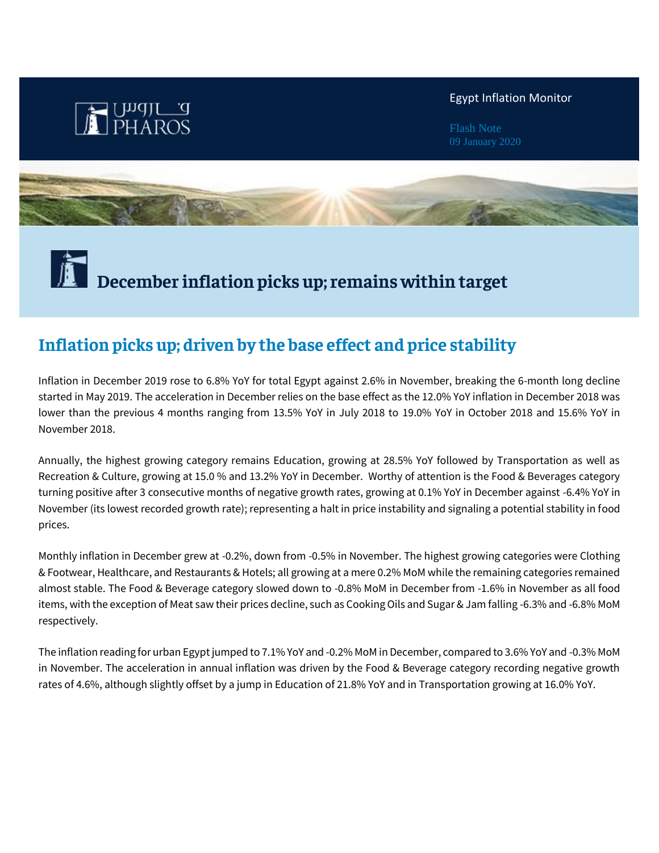

## Egypt Inflation Monitor

Flash Note



# **December inflation picks up; remains within target**

# **Inflation picks up; driven by the base effect and price stability**

Inflation in December 2019 rose to 6.8% YoY for total Egypt against 2.6% in November, breaking the 6-month long decline started in May 2019. The acceleration in December relies on the base effect as the 12.0% YoY inflation in December 2018 was lower than the previous 4 months ranging from 13.5% YoY in July 2018 to 19.0% YoY in October 2018 and 15.6% YoY in November 2018.

Annually, the highest growing category remains Education, growing at 28.5% YoY followed by Transportation as well as Recreation & Culture, growing at 15.0 % and 13.2% YoY in December. Worthy of attention is the Food & Beverages category turning positive after 3 consecutive months of negative growth rates, growing at 0.1% YoY in December against -6.4% YoY in November (its lowest recorded growth rate); representing a halt in price instability and signaling a potential stability in food prices.

Monthly inflation in December grew at -0.2%, down from -0.5% in November. The highest growing categories were Clothing & Footwear, Healthcare, and Restaurants & Hotels; all growing at a mere 0.2% MoM while the remaining categories remained almost stable. The Food & Beverage category slowed down to -0.8% MoM in December from -1.6% in November as all food items, with the exception of Meat saw their prices decline, such as Cooking Oils and Sugar & Jam falling -6.3% and -6.8% MoM respectively.

The inflation reading for urban Egypt jumped to 7.1% YoY and -0.2% MoM in December, compared to 3.6% YoY and -0.3% MoM in November. The acceleration in annual inflation was driven by the Food & Beverage category recording negative growth rates of 4.6%, although slightly offset by a jump in Education of 21.8% YoY and in Transportation growing at 16.0% YoY.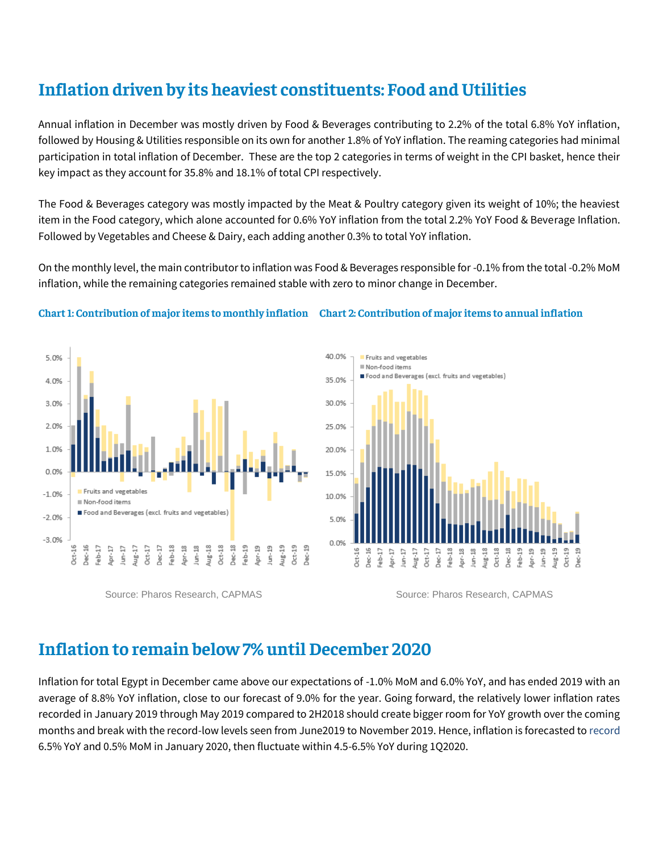# **Inflation driven by its heaviest constituents: Food and Utilities**

Annual inflation in December was mostly driven by Food & Beverages contributing to 2.2% of the total 6.8% YoY inflation, followed by Housing & Utilities responsible on its own for another 1.8% of YoY inflation. The reaming categories had minimal participation in total inflation of December. These are the top 2 categories in terms of weight in the CPI basket, hence their key impact as they account for 35.8% and 18.1% of total CPI respectively.

The Food & Beverages category was mostly impacted by the Meat & Poultry category given its weight of 10%; the heaviest item in the Food category, which alone accounted for 0.6% YoY inflation from the total 2.2% YoY Food & Beverage Inflation. Followed by Vegetables and Cheese & Dairy, each adding another 0.3% to total YoY inflation.

On the monthly level, the main contributor to inflation was Food & Beverages responsible for -0.1% from the total -0.2% MoM inflation, while the remaining categories remained stable with zero to minor change in December.

## **Chart 1: Contribution of major items to monthly inflation Chart 2: Contribution of major items to annual inflation**





Source: Pharos Research, CAPMAS Source: Pharos Research, CAPMAS

## **Inflation to remain below 7% until December 2020**

Inflation for total Egypt in December came above our expectations of -1.0% MoM and 6.0% YoY, and has ended 2019 with an average of 8.8% YoY inflation, close to our forecast of 9.0% for the year. Going forward, the relatively lower inflation rates recorded in January 2019 through May 2019 compared to 2H2018 should create bigger room for YoY growth over the coming months and break with the record-low levels seen from June2019 to November 2019. Hence, inflation is forecasted to record 6.5% YoY and 0.5% MoM in January 2020, then fluctuate within 4.5-6.5% YoY during 1Q2020.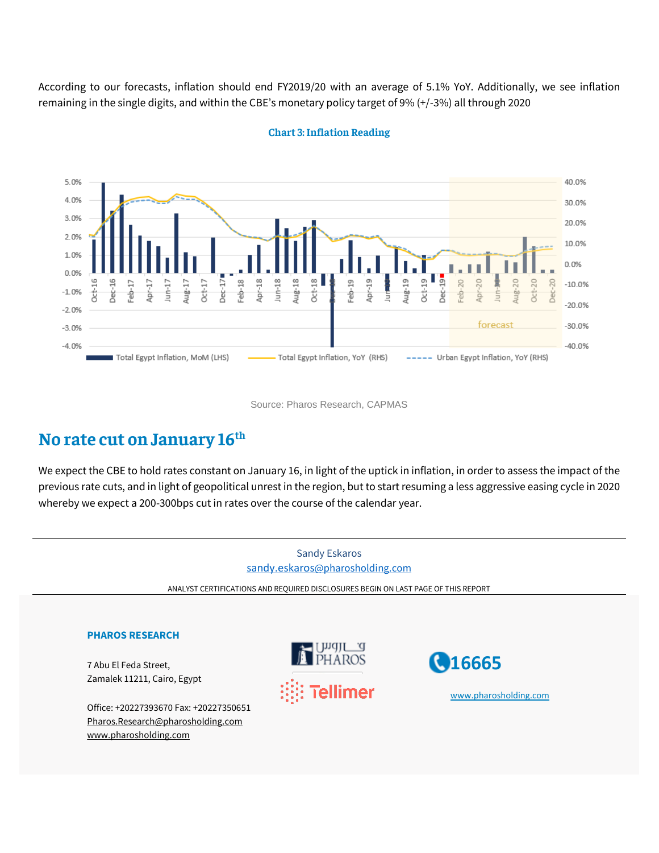According to our forecasts, inflation should end FY2019/20 with an average of 5.1% YoY. Additionally, we see inflation remaining in the single digits, and within the CBE's monetary policy target of 9% (+/-3%) all through 2020



## **Chart 3: Inflation Reading**

Source: Pharos Research, CAPMAS

## **No rate cut on January 16 th**

We expect the CBE to hold rates constant on January 16, in light of the uptick in inflation, in order to assess the impact of the previous rate cuts, and in light of geopolitical unrest in the region, but to start resuming a less aggressive easing cycle in 2020 whereby we expect a 200-300bps cut in rates over the course of the calendar year.

Sandy Eskaros sandy.eskaros[@pharosholding.com](mailto:sandy.eskaros@pharosholding.com)  ANALYST CERTIFICATIONS AND REQUIRED DISCLOSURES BEGIN ON LAST PAGE OF THIS REPORT **PHAROS RESEARCH 16665**  7 Abu El Feda Street, Zamalek 11211, Cairo, Egypt ellimer [www.pharosholding.com](http://www.pharosholding.com/)Office: +20227393670 Fax: +20227350651 [Pharos.Research@pharosholding.com](mailto:Pharos.Research@pharosholding.com) [www.pharosholding.com](http://www.pharosholding.com/)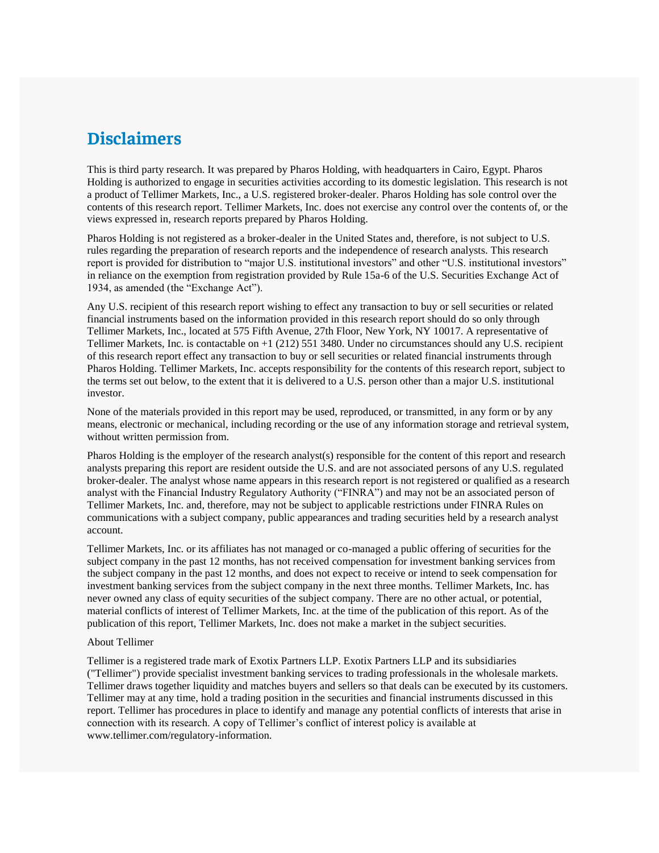## **Disclaimers**

This is third party research. It was prepared by Pharos Holding, with headquarters in Cairo, Egypt. Pharos Holding is authorized to engage in securities activities according to its domestic legislation. This research is not a product of Tellimer Markets, Inc., a U.S. registered broker-dealer. Pharos Holding has sole control over the contents of this research report. Tellimer Markets, Inc. does not exercise any control over the contents of, or the views expressed in, research reports prepared by Pharos Holding.

Pharos Holding is not registered as a broker-dealer in the United States and, therefore, is not subject to U.S. rules regarding the preparation of research reports and the independence of research analysts. This research report is provided for distribution to "major U.S. institutional investors" and other "U.S. institutional investors" in reliance on the exemption from registration provided by Rule 15a-6 of the U.S. Securities Exchange Act of 1934, as amended (the "Exchange Act").

Any U.S. recipient of this research report wishing to effect any transaction to buy or sell securities or related financial instruments based on the information provided in this research report should do so only through Tellimer Markets, Inc., located at 575 Fifth Avenue, 27th Floor, New York, NY 10017. A representative of Tellimer Markets, Inc. is contactable on +1 (212) 551 3480. Under no circumstances should any U.S. recipient of this research report effect any transaction to buy or sell securities or related financial instruments through Pharos Holding. Tellimer Markets, Inc. accepts responsibility for the contents of this research report, subject to the terms set out below, to the extent that it is delivered to a U.S. person other than a major U.S. institutional investor.

None of the materials provided in this report may be used, reproduced, or transmitted, in any form or by any means, electronic or mechanical, including recording or the use of any information storage and retrieval system, without written permission from.

Pharos Holding is the employer of the research analyst(s) responsible for the content of this report and research analysts preparing this report are resident outside the U.S. and are not associated persons of any U.S. regulated broker-dealer. The analyst whose name appears in this research report is not registered or qualified as a research analyst with the Financial Industry Regulatory Authority ("FINRA") and may not be an associated person of Tellimer Markets, Inc. and, therefore, may not be subject to applicable restrictions under FINRA Rules on communications with a subject company, public appearances and trading securities held by a research analyst account.

Tellimer Markets, Inc. or its affiliates has not managed or co-managed a public offering of securities for the subject company in the past 12 months, has not received compensation for investment banking services from the subject company in the past 12 months, and does not expect to receive or intend to seek compensation for investment banking services from the subject company in the next three months. Tellimer Markets, Inc. has never owned any class of equity securities of the subject company. There are no other actual, or potential, material conflicts of interest of Tellimer Markets, Inc. at the time of the publication of this report. As of the publication of this report, Tellimer Markets, Inc. does not make a market in the subject securities.

#### About Tellimer

Tellimer is a registered trade mark of Exotix Partners LLP. Exotix Partners LLP and its subsidiaries ("Tellimer") provide specialist investment banking services to trading professionals in the wholesale markets. Tellimer draws together liquidity and matches buyers and sellers so that deals can be executed by its customers. Tellimer may at any time, hold a trading position in the securities and financial instruments discussed in this report. Tellimer has procedures in place to identify and manage any potential conflicts of interests that arise in connection with its research. A copy of Tellimer's conflict of interest policy is available at www.tellimer.com/regulatory-information.